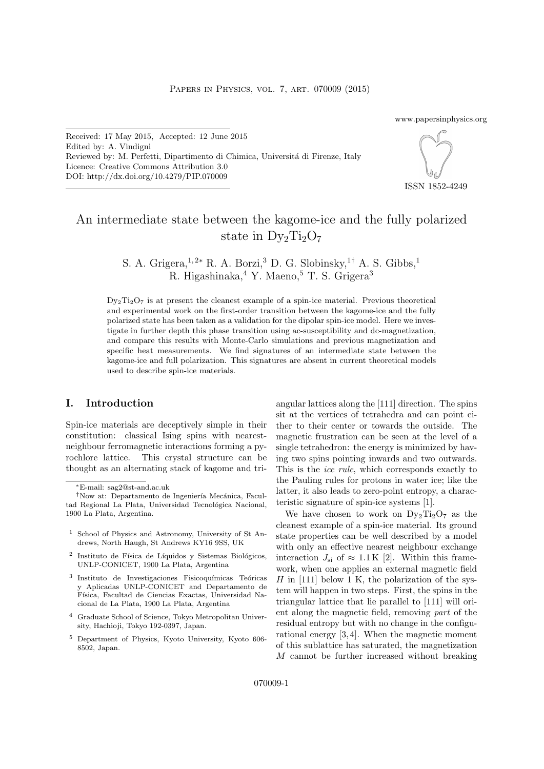www.papersinphysics.org

Received: 17 May 2015, Accepted: 12 June 2015 Edited by: A. Vindigni Reviewed by: M. Perfetti, Dipartimento di Chimica, Università di Firenze, Italy Licence: Creative Commons Attribution 3.0 DOI: http://dx.doi.org/10.4279/PIP.070009



ISSN 1852-4249

# An intermediate state between the kagome-ice and the fully polarized state in  $D_{V_2}Ti_2O_7$

S. A. Grigera,  $^{1,2*}$  R. A. Borzi, <sup>3</sup> D. G. Slobinsky, <sup>1†</sup> A. S. Gibbs, <sup>1</sup> R. Higashinaka, <sup>4</sup> Y. Maeno, <sup>5</sup> T. S. Grigera<sup>3</sup>

 $D_{y_2}T_{12}O_7$  is at present the cleanest example of a spin-ice material. Previous theoretical and experimental work on the first-order transition between the kagome-ice and the fully polarized state has been taken as a validation for the dipolar spin-ice model. Here we investigate in further depth this phase transition using ac-susceptibility and dc-magnetization, and compare this results with Monte-Carlo simulations and previous magnetization and specific heat measurements. We find signatures of an intermediate state between the kagome-ice and full polarization. This signatures are absent in current theoretical models used to describe spin-ice materials.

## I. Introduction

Spin-ice materials are deceptively simple in their constitution: classical Ising spins with nearestneighbour ferromagnetic interactions forming a pyrochlore lattice. This crystal structure can be thought as an alternating stack of kagome and tri-

- 2 Instituto de Física de Líquidos y Sistemas Biológicos, UNLP-CONICET, 1900 La Plata, Argentina
- <sup>3</sup> Instituto de Investigaciones Fisicoquímicas Teóricas y Aplicadas UNLP-CONICET and Departamento de Física, Facultad de Ciencias Exactas, Universidad Nacional de La Plata, 1900 La Plata, Argentina
- <sup>4</sup> Graduate School of Science, Tokyo Metropolitan University, Hachioji, Tokyo 192-0397, Japan.
- <sup>5</sup> Department of Physics, Kyoto University, Kyoto 606- 8502, Japan.

angular lattices along the [111] direction. The spins sit at the vertices of tetrahedra and can point either to their center or towards the outside. The magnetic frustration can be seen at the level of a single tetrahedron: the energy is minimized by having two spins pointing inwards and two outwards. This is the *ice rule*, which corresponds exactly to the Pauling rules for protons in water ice; like the latter, it also leads to zero-point entropy, a characteristic signature of spin-ice systems [1].

We have chosen to work on  $D_{y_2}Ti_2O_7$  as the cleanest example of a spin-ice material. Its ground state properties can be well described by a model with only an effective nearest neighbour exchange interaction  $J_{\rm si}$  of  $\approx 1.1 \,\rm K$  [2]. Within this framework, when one applies an external magnetic field  $H$  in [111] below 1 K, the polarization of the system will happen in two steps. First, the spins in the triangular lattice that lie parallel to [111] will orient along the magnetic field, removing part of the residual entropy but with no change in the configurational energy [3, 4]. When the magnetic moment of this sublattice has saturated, the magnetization M cannot be further increased without breaking

<sup>∗</sup>E-mail: sag2@st-and.ac.uk

<sup>&</sup>lt;sup>†</sup>Now at: Departamento de Ingeniería Mecánica, Facultad Regional La Plata, Universidad Tecnológica Nacional, 1900 La Plata, Argentina.

<sup>1</sup> School of Physics and Astronomy, University of St Andrews, North Haugh, St Andrews KY16 9SS, UK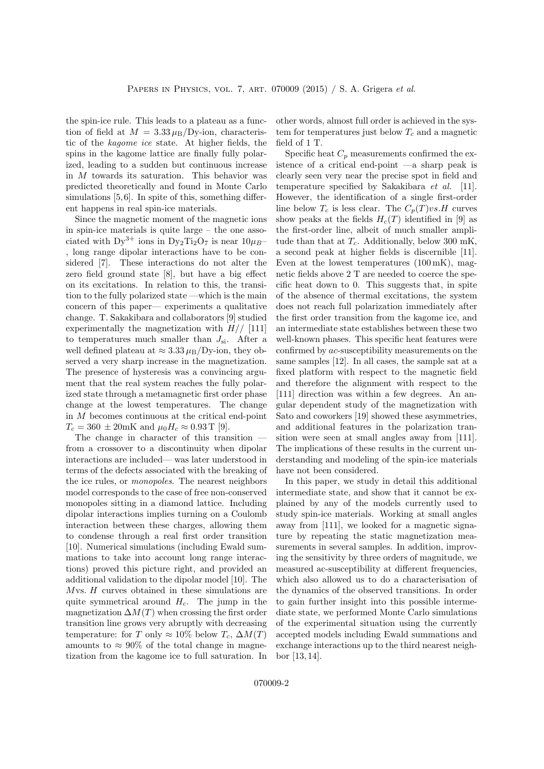the spin-ice rule. This leads to a plateau as a function of field at  $M = 3.33 \mu_{\rm B} / {\rm Dy}\text{-ion}$ , characteristic of the kagome ice state. At higher fields, the spins in the kagome lattice are finally fully polarized, leading to a sudden but continuous increase in M towards its saturation. This behavior was predicted theoretically and found in Monte Carlo simulations [5, 6]. In spite of this, something different happens in real spin-ice materials.

Since the magnetic moment of the magnetic ions in spin-ice materials is quite large – the one associated with  $Dy^{3+}$  ions in  $Dy_2Ti_2O_7$  is near  $10\mu_B$ – , long range dipolar interactions have to be considered [7]. These interactions do not alter the zero field ground state [8], but have a big effect on its excitations. In relation to this, the transition to the fully polarized state —which is the main concern of this paper— experiments a qualitative change. T. Sakakibara and collaborators [9] studied experimentally the magnetization with  $H//$  [111] to temperatures much smaller than  $J_{\rm si}$ . After a well defined plateau at  $\approx 3.33 \,\mu_{\rm B} / \text{Dy-ion}$ , they observed a very sharp increase in the magnetization. The presence of hysteresis was a convincing argument that the real system reaches the fully polarized state through a metamagnetic first order phase change at the lowest temperatures. The change in M becomes continuous at the critical end-point  $T_c = 360 \pm 20 \text{mK}$  and  $\mu_0 H_c \approx 0.93 \text{ T}$  [9].

The change in character of this transition – from a crossover to a discontinuity when dipolar interactions are included— was later understood in terms of the defects associated with the breaking of the ice rules, or monopoles. The nearest neighbors model corresponds to the case of free non-conserved monopoles sitting in a diamond lattice. Including dipolar interactions implies turning on a Coulomb interaction between these charges, allowing them to condense through a real first order transition [10]. Numerical simulations (including Ewald summations to take into account long range interactions) proved this picture right, and provided an additional validation to the dipolar model [10]. The Mvs. H curves obtained in these simulations are quite symmetrical around  $H_c$ . The jump in the magnetization  $\Delta M(T)$  when crossing the first order transition line grows very abruptly with decreasing temperature: for T only  $\approx 10\%$  below  $T_c$ ,  $\Delta M(T)$ amounts to  $\approx 90\%$  of the total change in magnetization from the kagome ice to full saturation. In

other words, almost full order is achieved in the system for temperatures just below  $T_c$  and a magnetic field of 1 T.

Specific heat  $C_p$  measurements confirmed the existence of a critical end-point —a sharp peak is clearly seen very near the precise spot in field and temperature specified by Sakakibara et al. [11]. However, the identification of a single first-order line below  $T_c$  is less clear. The  $C_p(T) \nu s.H$  curves show peaks at the fields  $H_c(T)$  identified in [9] as the first-order line, albeit of much smaller amplitude than that at  $T_c$ . Additionally, below 300 mK, a second peak at higher fields is discernible [11]. Even at the lowest temperatures  $(100 \text{ mK})$ , magnetic fields above 2 T are needed to coerce the specific heat down to 0. This suggests that, in spite of the absence of thermal excitations, the system does not reach full polarization immediately after the first order transition from the kagome ice, and an intermediate state establishes between these two well-known phases. This specific heat features were confirmed by ac-susceptibility measurements on the same samples [12]. In all cases, the sample sat at a fixed platform with respect to the magnetic field and therefore the alignment with respect to the [111] direction was within a few degrees. An angular dependent study of the magnetization with Sato and coworkers [19] showed these asymmetries, and additional features in the polarization transition were seen at small angles away from [111]. The implications of these results in the current understanding and modeling of the spin-ice materials have not been considered.

In this paper, we study in detail this additional intermediate state, and show that it cannot be explained by any of the models currently used to study spin-ice materials. Working at small angles away from [111], we looked for a magnetic signature by repeating the static magnetization measurements in several samples. In addition, improving the sensitivity by three orders of magnitude, we measured ac-susceptibility at different frequencies, which also allowed us to do a characterisation of the dynamics of the observed transitions. In order to gain further insight into this possible intermediate state, we performed Monte Carlo simulations of the experimental situation using the currently accepted models including Ewald summations and exchange interactions up to the third nearest neighbor [13, 14].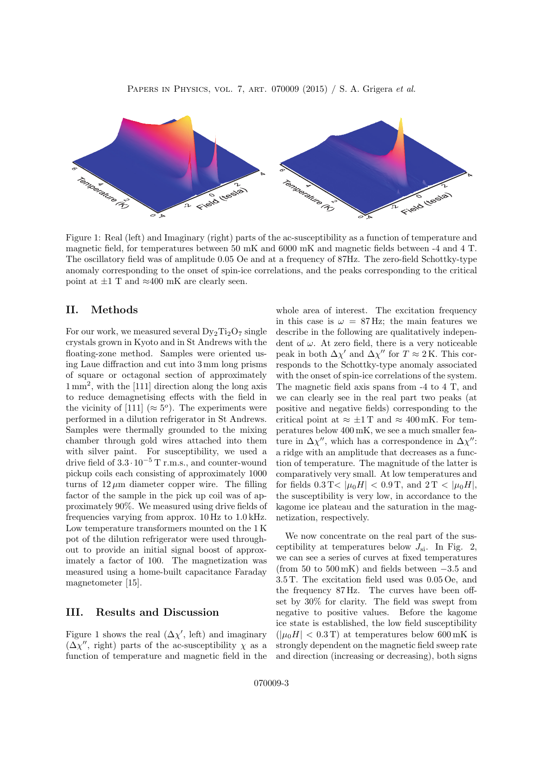

Figure 1: Real (left) and Imaginary (right) parts of the ac-susceptibility as a function of temperature and magnetic field, for temperatures between 50 mK and 6000 mK and magnetic fields between -4 and 4 T. The oscillatory field was of amplitude 0.05 Oe and at a frequency of 87Hz. The zero-field Schottky-type anomaly corresponding to the onset of spin-ice correlations, and the peaks corresponding to the critical point at  $\pm 1$  T and  $\approx 400$  mK are clearly seen.

## II. Methods

For our work, we measured several  $D_{y_2}Ti_2O_7$  single crystals grown in Kyoto and in St Andrews with the floating-zone method. Samples were oriented using Laue diffraction and cut into 3 mm long prisms of square or octagonal section of approximately 1 mm<sup>2</sup> , with the [111] direction along the long axis to reduce demagnetising effects with the field in the vicinity of [111] ( $\approx 5^{\circ}$ ). The experiments were performed in a dilution refrigerator in St Andrews. Samples were thermally grounded to the mixing chamber through gold wires attached into them with silver paint. For susceptibility, we used a drive field of  $3.3 \cdot 10^{-5}$  T r.m.s., and counter-wound pickup coils each consisting of approximately 1000 turns of  $12 \mu m$  diameter copper wire. The filling factor of the sample in the pick up coil was of approximately 90%. We measured using drive fields of frequencies varying from approx. 10 Hz to 1.0 kHz. Low temperature transformers mounted on the 1 K pot of the dilution refrigerator were used throughout to provide an initial signal boost of approximately a factor of 100. The magnetization was measured using a home-built capacitance Faraday magnetometer [15].

## III. Results and Discussion

Figure 1 shows the real  $(\Delta \chi')$ , left) and imaginary  $(\Delta \chi''$ , right) parts of the ac-susceptibility  $\chi$  as a function of temperature and magnetic field in the whole area of interest. The excitation frequency in this case is  $\omega = 87 \text{ Hz}$ ; the main features we describe in the following are qualitatively independent of  $\omega$ . At zero field, there is a very noticeable peak in both  $\Delta \chi'$  and  $\Delta \chi''$  for  $T \approx 2$  K. This corresponds to the Schottky-type anomaly associated with the onset of spin-ice correlations of the system. The magnetic field axis spans from -4 to 4 T, and we can clearly see in the real part two peaks (at positive and negative fields) corresponding to the critical point at  $\approx \pm 1\,\mathrm{T}$  and  $\approx 400\,\mathrm{mK}$ . For temperatures below 400 mK, we see a much smaller feature in  $\Delta \chi''$ , which has a correspondence in  $\Delta \chi''$ : a ridge with an amplitude that decreases as a function of temperature. The magnitude of the latter is comparatively very small. At low temperatures and for fields  $0.3 \text{ T} < |\mu_0 H| < 0.9 \text{ T}$ , and  $2 \text{ T} < |\mu_0 H|$ , the susceptibility is very low, in accordance to the kagome ice plateau and the saturation in the magnetization, respectively.

We now concentrate on the real part of the susceptibility at temperatures below  $J_{\rm si}$ . In Fig. 2, we can see a series of curves at fixed temperatures (from 50 to  $500 \text{ mK}$ ) and fields between  $-3.5$  and 3.5 T. The excitation field used was 0.05 Oe, and the frequency 87 Hz. The curves have been offset by 30% for clarity. The field was swept from negative to positive values. Before the kagome ice state is established, the low field susceptibility  $(|\mu_0H| < 0.3$  T) at temperatures below 600 mK is strongly dependent on the magnetic field sweep rate and direction (increasing or decreasing), both signs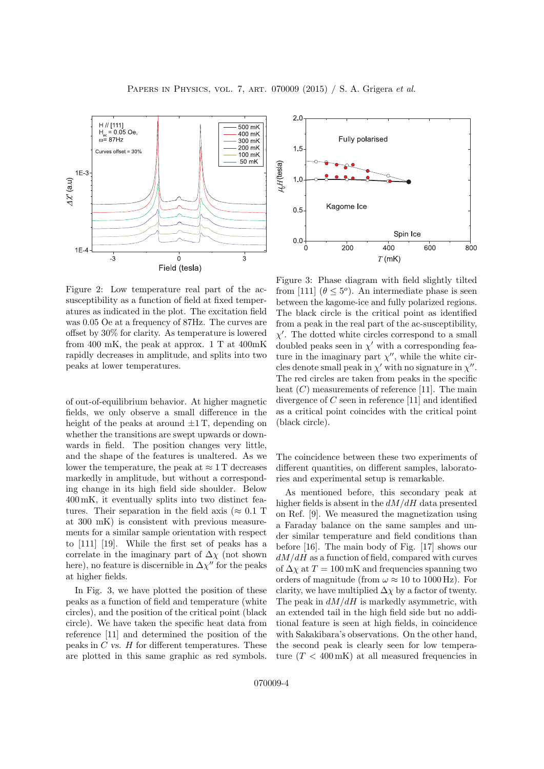

Figure 2: Low temperature real part of the acsusceptibility as a function of field at fixed temperatures as indicated in the plot. The excitation field was 0.05 Oe at a frequency of 87Hz. The curves are offset by 30% for clarity. As temperature is lowered from 400 mK, the peak at approx. 1 T at 400mK rapidly decreases in amplitude, and splits into two peaks at lower temperatures.

of out-of-equilibrium behavior. At higher magnetic fields, we only observe a small difference in the height of the peaks at around  $\pm 1$  T, depending on whether the transitions are swept upwards or downwards in field. The position changes very little, and the shape of the features is unaltered. As we lower the temperature, the peak at  $\approx 1$  T decreases markedly in amplitude, but without a corresponding change in its high field side shoulder. Below 400 mK, it eventually splits into two distinct features. Their separation in the field axis ( $\approx 0.1$  T at 300 mK) is consistent with previous measurements for a similar sample orientation with respect to [111] [19]. While the first set of peaks has a correlate in the imaginary part of  $\Delta \chi$  (not shown here), no feature is discernible in  $\Delta \chi''$  for the peaks at higher fields.

In Fig. 3, we have plotted the position of these peaks as a function of field and temperature (white circles), and the position of the critical point (black circle). We have taken the specific heat data from reference [11] and determined the position of the peaks in  $C$  vs.  $H$  for different temperatures. These are plotted in this same graphic as red symbols.



Figure 3: Phase diagram with field slightly tilted from [111]  $(\theta \leq 5^{\circ})$ . An intermediate phase is seen between the kagome-ice and fully polarized regions. The black circle is the critical point as identified from a peak in the real part of the ac-susceptibility,  $\chi'$ . The dotted white circles correspond to a small doubled peaks seen in  $\chi'$  with a corresponding feature in the imaginary part  $\chi''$ , while the white circles denote small peak in  $\chi'$  with no signature in  $\chi''$ . The red circles are taken from peaks in the specific heat  $(C)$  measurements of reference [11]. The main divergence of C seen in reference [11] and identified as a critical point coincides with the critical point (black circle).

The coincidence between these two experiments of different quantities, on different samples, laboratories and experimental setup is remarkable.

As mentioned before, this secondary peak at higher fields is absent in the  $dM/dH$  data presented on Ref. [9]. We measured the magnetization using a Faraday balance on the same samples and under similar temperature and field conditions than before [16]. The main body of Fig. [17] shows our  $dM/dH$  as a function of field, compared with curves of  $\Delta \chi$  at  $T = 100$  mK and frequencies spanning two orders of magnitude (from  $\omega \approx 10$  to 1000 Hz). For clarity, we have multiplied  $\Delta \chi$  by a factor of twenty. The peak in  $dM/dH$  is markedly asymmetric, with an extended tail in the high field side but no additional feature is seen at high fields, in coincidence with Sakakibara's observations. On the other hand, the second peak is clearly seen for low temperature  $(T < 400 \text{ mK})$  at all measured frequencies in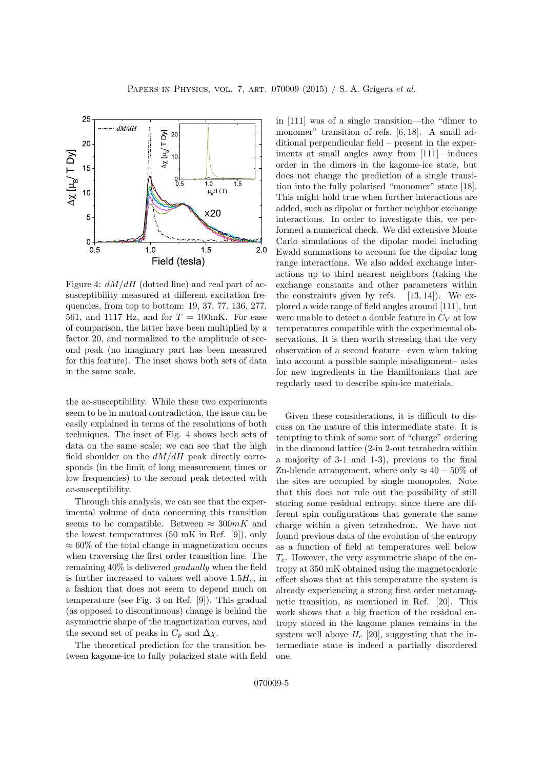

Figure 4:  $dM/dH$  (dotted line) and real part of acsusceptibility measured at different excitation frequencies, from top to bottom: 19, 37, 77, 136, 277, 561, and 1117 Hz, and for  $T = 100$ mK. For ease of comparison, the latter have been multiplied by a factor 20, and normalized to the amplitude of second peak (no imaginary part has been measured for this feature). The inset shows both sets of data in the same scale.

the ac-susceptibility. While these two experiments seem to be in mutual contradiction, the issue can be easily explained in terms of the resolutions of both techniques. The inset of Fig. 4 shows both sets of data on the same scale; we can see that the high field shoulder on the  $dM/dH$  peak directly corresponds (in the limit of long measurement times or low frequencies) to the second peak detected with ac-susceptibility.

Through this analysis, we can see that the experimental volume of data concerning this transition seems to be compatible. Between  $\approx 300mK$  and the lowest temperatures (50 mK in Ref. [9]), only  $\approx 60\%$  of the total change in magnetization occurs when traversing the first order transition line. The remaining 40% is delivered gradually when the field is further increased to values well above  $1.5H_c$ , in a fashion that does not seem to depend much on temperature (see Fig. 3 on Ref. [9]). This gradual (as opposed to discontinuous) change is behind the asymmetric shape of the magnetization curves, and the second set of peaks in  $C_p$  and  $\Delta \chi$ .

The theoretical prediction for the transition between kagome-ice to fully polarized state with field in [111] was of a single transition—the "dimer to monomer" transition of refs. [6, 18]. A small additional perpendicular field – present in the experiments at small angles away from [111]– induces order in the dimers in the kagome-ice state, but does not change the prediction of a single transition into the fully polarised "monomer" state [18]. This might hold true when further interactions are added, such as dipolar or further neighbor exchange interactions. In order to investigate this, we performed a numerical check. We did extensive Monte Carlo simulations of the dipolar model including Ewald summations to account for the dipolar long range interactions. We also added exchange interactions up to third nearest neighbors (taking the exchange constants and other parameters within the constraints given by refs.  $[13, 14]$ . We explored a wide range of field angles around [111], but were unable to detect a double feature in  $C_V$  at low temperatures compatible with the experimental observations. It is then worth stressing that the very observation of a second feature –even when taking into account a possible sample misalignment– asks for new ingredients in the Hamiltonians that are regularly used to describe spin-ice materials.

Given these considerations, it is difficult to discuss on the nature of this intermediate state. It is tempting to think of some sort of "charge" ordering in the diamond lattice (2-in 2-out tetrahedra within a majority of 3-1 and 1-3), previous to the final Zn-blende arrangement, where only  $\approx 40-50\%$  of the sites are occupied by single monopoles. Note that this does not rule out the possibility of still storing some residual entropy, since there are different spin configurations that generate the same charge within a given tetrahedron. We have not found previous data of the evolution of the entropy as a function of field at temperatures well below  $T_c$ . However, the very asymmetric shape of the entropy at 350 mK obtained using the magnetocaloric effect shows that at this temperature the system is already experiencing a strong first order metamagnetic transition, as mentioned in Ref. [20]. This work shows that a big fraction of the residual entropy stored in the kagome planes remains in the system well above  $H_c$  [20], suggesting that the intermediate state is indeed a partially disordered one.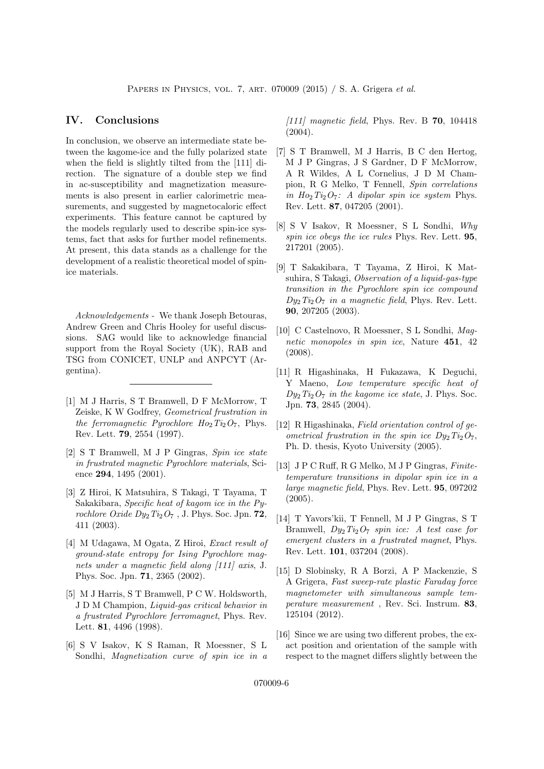#### IV. Conclusions

In conclusion, we observe an intermediate state between the kagome-ice and the fully polarized state when the field is slightly tilted from the [111] direction. The signature of a double step we find in ac-susceptibility and magnetization measurements is also present in earlier calorimetric measurements, and suggested by magnetocaloric effect experiments. This feature cannot be captured by the models regularly used to describe spin-ice systems, fact that asks for further model refinements. At present, this data stands as a challenge for the development of a realistic theoretical model of spinice materials.

Acknowledgements - We thank Joseph Betouras, Andrew Green and Chris Hooley for useful discussions. SAG would like to acknowledge financial support from the Royal Society (UK), RAB and TSG from CONICET, UNLP and ANPCYT (Argentina).

- [1] M J Harris, S T Bramwell, D F McMorrow, T Zeiske, K W Godfrey, Geometrical frustration in the ferromagnetic Pyrochlore  $Ho_2Ti_2O_7$ , Phys. Rev. Lett. 79, 2554 (1997).
- [2] S T Bramwell, M J P Gingras, Spin ice state in frustrated magnetic Pyrochlore materials, Science 294, 1495 (2001).
- [3] Z Hiroi, K Matsuhira, S Takagi, T Tayama, T Sakakibara, Specific heat of kagom ice in the Pyrochlore Oxide  $Dy_2Ti_2O_7$ , J. Phys. Soc. Jpn. 72, 411 (2003).
- [4] M Udagawa, M Ogata, Z Hiroi, Exact result of ground-state entropy for Ising Pyrochlore magnets under a magnetic field along [111] axis, J. Phys. Soc. Jpn. 71, 2365 (2002).
- [5] M J Harris, S T Bramwell, P C W. Holdsworth, J D M Champion, Liquid-gas critical behavior in a frustrated Pyrochlore ferromagnet, Phys. Rev. Lett. 81, 4496 (1998).
- [6] S V Isakov, K S Raman, R Moessner, S L Sondhi, *Magnetization curve of spin ice in a*

[111] magnetic field, Phys. Rev. B  $70$ , 104418 (2004).

- [7] S T Bramwell, M J Harris, B C den Hertog, M J P Gingras, J S Gardner, D F McMorrow, A R Wildes, A L Cornelius, J D M Champion, R G Melko, T Fennell, Spin correlations in  $Ho_2Ti_2O_7$ : A dipolar spin ice system Phys. Rev. Lett. 87, 047205 (2001).
- [8] S V Isakov, R Moessner, S L Sondhi, Why spin ice obeys the ice rules Phys. Rev. Lett. 95, 217201 (2005).
- [9] T Sakakibara, T Tayama, Z Hiroi, K Matsuhira, S Takagi, Observation of a liquid-gas-type transition in the Pyrochlore spin ice compound  $Dy_2Ti_2O_7$  in a magnetic field, Phys. Rev. Lett. 90, 207205 (2003).
- [10] C Castelnovo, R Moessner, S L Sondhi, Magnetic monopoles in spin ice, Nature 451, 42 (2008).
- [11] R Higashinaka, H Fukazawa, K Deguchi, Y Maeno, Low temperature specific heat of  $Dy_2Ti_2O_7$  in the kagome ice state, J. Phys. Soc. Jpn. 73, 2845 (2004).
- [12] R Higashinaka, Field orientation control of geometrical frustration in the spin ice  $D_{\nu_2}$ Ti<sub>2</sub>O<sub>7</sub>, Ph. D. thesis, Kyoto University (2005).
- [13] J P C Ruff, R G Melko, M J P Gingras, Finitetemperature transitions in dipolar spin ice in a large magnetic field, Phys. Rev. Lett. 95, 097202 (2005).
- [14] T Yavors'kii, T Fennell, M J P Gingras, S T Bramwell,  $Dy_2Ti_2O_7$  spin ice: A test case for emergent clusters in a frustrated magnet, Phys. Rev. Lett. 101, 037204 (2008).
- [15] D Slobinsky, R A Borzi, A P Mackenzie, S A Grigera, Fast sweep-rate plastic Faraday force magnetometer with simultaneous sample temperature measurement , Rev. Sci. Instrum. 83, 125104 (2012).
- [16] Since we are using two different probes, the exact position and orientation of the sample with respect to the magnet differs slightly between the